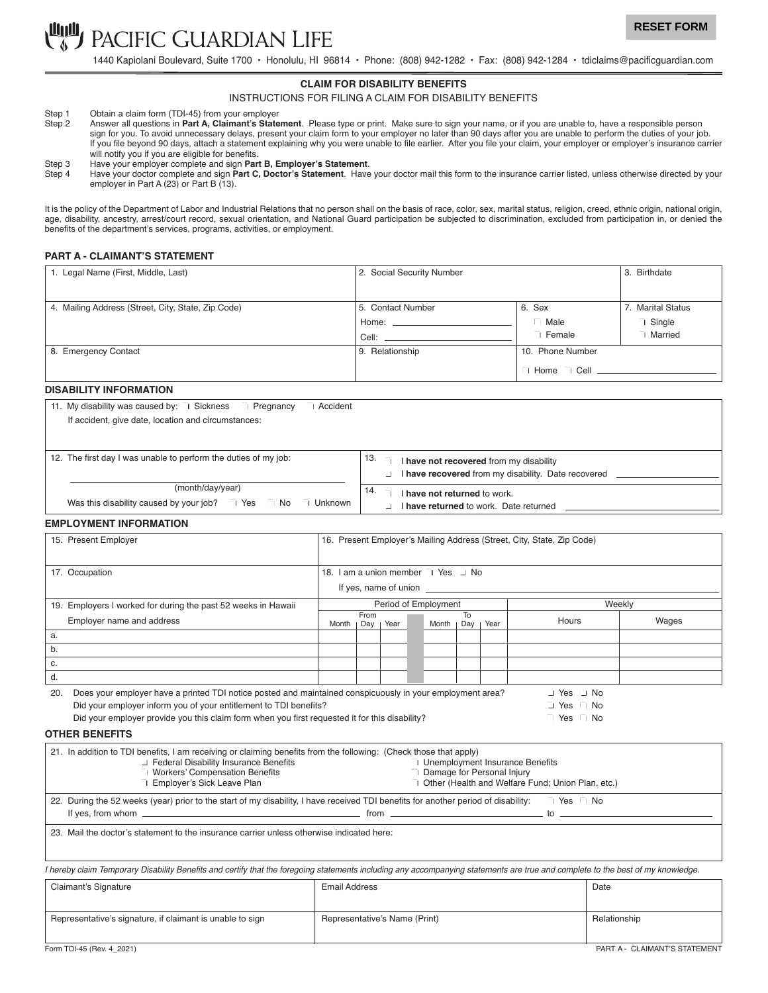

1440 Kapiolani Boulevard, Suite 1700 • Honolulu, HI 96814 • Phone: (808) 942-1282 • Fax: (808) 942-1284 • tdiclaims@pacificguardian.com

#### **CLAIM FOR DISABILITY BENEFITS**

INSTRUCTIONS FOR FILING A CLAIM FOR DISABILITY BENEFITS

- Step 1 Obtain a claim form (TDI-45) from your employer<br>Step 2 Answer all questions in Part A, Claimant's State
- Answer all questions in Part A, Claimant's Statement. Please type or print. Make sure to sign your name, or if you are unable to, have a responsible person sign for you. To avoid unnecessary delays, present your claim form to your employer no later than 90 days after you are unable to perform the duties of your job. If you file beyond 90 days, attach a statement explaining why you were unable to file earlier. After you file your claim, your employer or employer's insurance carrier will notify you if you are eligible for benefits.
- Step 3 Have your employer complete and sign **Part B, Employer's Statement**.
- Step 4 Have your doctor complete and sign Part C, Doctor's Statement. Have your doctor mail this form to the insurance carrier listed, unless otherwise directed by your employer in Part A (23) or Part B (13).

It is the policy of the Department of Labor and Industrial Relations that no person shall on the basis of race, color, sex, marital status, religion, creed, ethnic origin, national origin, age, disability, ancestry, arrest/court record, sexual orientation, and National Guard participation be subjected to discrimination, excluded from participation in, or denied the benefits of the department's services, programs, activities, or employment.

## **PART A - CLAIMANT'S STATEMENT**

| 1. Legal Name (First, Middle, Last)                | 2. Social Security Number | 3. Birthdate     |                   |
|----------------------------------------------------|---------------------------|------------------|-------------------|
|                                                    |                           |                  |                   |
| 4. Mailing Address (Street, City, State, Zip Code) | 5. Contact Number         | 6. Sex           | 7. Marital Status |
|                                                    | Home: ______              | Male             | $\Box$ Single     |
|                                                    | Cell: $\_\$               | Female           | □ Married         |
| 8. Emergency Contact                               | 9. Relationship           | 10. Phone Number |                   |
|                                                    |                           | Home             |                   |

### **DISABILITY INFORMATION**

11. My disability was caused by:  $\Box$  Sickness  $\Box$  Pregnancy  $\Box$  Accident

If accident, give date, location and circumstances:

| 12. The first day I was unable to perform the duties of my job:             | 13.   | I have not recovered from my disability<br>I have recovered from my disability. Date recovered |
|-----------------------------------------------------------------------------|-------|------------------------------------------------------------------------------------------------|
| (month/day/year)                                                            | - 14. | I have not returned to work.                                                                   |
| Was this disability caused by your job? $\Box$ Yes $\Box$ No $\Box$ Unknown |       | I have returned to work. Date returned                                                         |

## **EMPLOYMENT INFORMATION**

| 15. Present Employer                                          | 16. Present Employer's Mailing Address (Street, City, State, Zip Code) |             |      |  |       |           |      |       |       |
|---------------------------------------------------------------|------------------------------------------------------------------------|-------------|------|--|-------|-----------|------|-------|-------|
| 17. Occupation                                                | 18. I am a union member I Yes J No<br>If yes, name of union            |             |      |  |       |           |      |       |       |
| 19. Employers I worked for during the past 52 weeks in Hawaii | Period of Employment<br>Weekly                                         |             |      |  |       |           |      |       |       |
| Employer name and address                                     | Month                                                                  | From<br>Day | Year |  | Month | To<br>Day | Year | Hours | Wages |
| a.                                                            |                                                                        |             |      |  |       |           |      |       |       |
| b.                                                            |                                                                        |             |      |  |       |           |      |       |       |
| с.                                                            |                                                                        |             |      |  |       |           |      |       |       |
|                                                               |                                                                        |             |      |  |       |           |      |       |       |

| 20. Does your employer have a printed TDI notice posted and maintained conspicuously in your employment area? | $\perp$ Yes $\perp$ No |  |
|---------------------------------------------------------------------------------------------------------------|------------------------|--|
| Did your employer inform you of your entitlement to TDI benefits?                                             | I Yes No               |  |
| Did your employer provide you this claim form when you first requested it for this disability?                | ⊟ Yes INo              |  |

#### **OTHER BENEFITS**

| 21. In addition to TDI benefits, I am receiving or claiming benefits from the following: (Check those that apply)                  |                                                                                                                                                                                                                                      |
|------------------------------------------------------------------------------------------------------------------------------------|--------------------------------------------------------------------------------------------------------------------------------------------------------------------------------------------------------------------------------------|
| Federal Disability Insurance Benefits                                                                                              | $\perp$ Unemployment Insurance Benefits                                                                                                                                                                                              |
| □ Workers' Compensation Benefits                                                                                                   | <b>Damage for Personal Injury</b>                                                                                                                                                                                                    |
| □ Employer's Sick Leave Plan                                                                                                       | J Other (Health and Welfare Fund; Union Plan, etc.)                                                                                                                                                                                  |
| 22. During the 52 weeks (year) prior to the start of my disability, I have received TDI benefits for another period of disability: | ⊔ Yes INo                                                                                                                                                                                                                            |
|                                                                                                                                    | from the contract of the contract of the contract of the contract of the contract of the contract of the contract of the contract of the contract of the contract of the contract of the contract of the contract of the contr<br>to |
|                                                                                                                                    |                                                                                                                                                                                                                                      |

23. Mail the doctor's statement to the insurance carrier unless otherwise indicated here:

I hereby claim Temporary Disability Benefits and certify that the foregoing statements including any accompanying statements are true and complete to the best of my knowledge.

| Claimant's Signature                                      | Email Address                 | Date                          |
|-----------------------------------------------------------|-------------------------------|-------------------------------|
|                                                           |                               |                               |
| Representative's signature, if claimant is unable to sign | Representative's Name (Print) | Relationship                  |
|                                                           |                               |                               |
| Form TDI-45 (Rev. 4 2021)                                 |                               | PART A - CLAIMANT'S STATEMENT |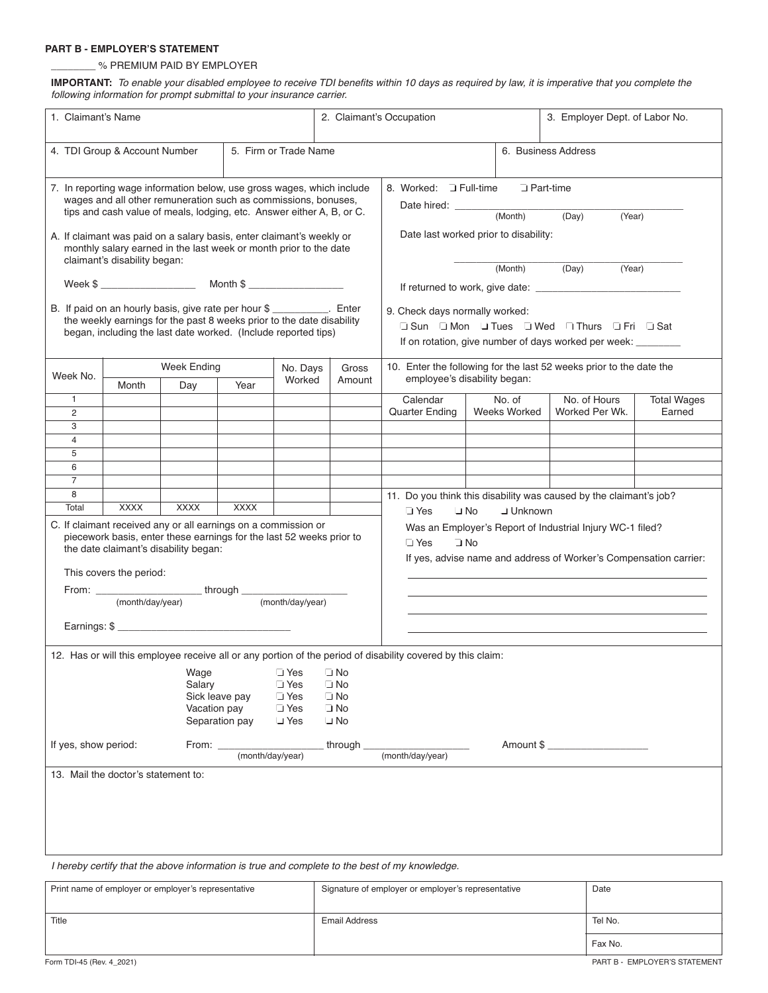# **PART B - EMPLOYER'S STATEMENT**

# \_\_\_\_\_\_\_\_ % PREMIUM PAID BY EMPLOYER

**IMPORTANT:** To enable your disabled employee to receive TDI benefits within 10 days as required by law, it is imperative that you complete the following information for prompt submittal to your insurance carrier.

| 1. Claimant's Name                                                                                                                                                                                                                                                                                                                                                                                                                                                                                                                                                                       |                                     |             |                  |                    | 2. Claimant's Occupation                                                                                                                        |                                   |                               | 3. Employer Dept. of Labor No.                                      |                              |  |
|------------------------------------------------------------------------------------------------------------------------------------------------------------------------------------------------------------------------------------------------------------------------------------------------------------------------------------------------------------------------------------------------------------------------------------------------------------------------------------------------------------------------------------------------------------------------------------------|-------------------------------------|-------------|------------------|--------------------|-------------------------------------------------------------------------------------------------------------------------------------------------|-----------------------------------|-------------------------------|---------------------------------------------------------------------|------------------------------|--|
| 5. Firm or Trade Name<br>4. TDI Group & Account Number                                                                                                                                                                                                                                                                                                                                                                                                                                                                                                                                   |                                     |             |                  |                    | 6. Business Address                                                                                                                             |                                   |                               |                                                                     |                              |  |
| 7. In reporting wage information below, use gross wages, which include<br>wages and all other remuneration such as commissions, bonuses,<br>tips and cash value of meals, lodging, etc. Answer either A, B, or C.<br>A. If claimant was paid on a salary basis, enter claimant's weekly or<br>monthly salary earned in the last week or month prior to the date                                                                                                                                                                                                                          |                                     |             |                  |                    | 8. Worked: J Full-time<br>$\sqcup$ Part-time<br>Date hired: __________<br>(Month)<br>(Day)<br>(Year)<br>Date last worked prior to disability:   |                                   |                               |                                                                     |                              |  |
|                                                                                                                                                                                                                                                                                                                                                                                                                                                                                                                                                                                          | claimant's disability began:        |             |                  |                    |                                                                                                                                                 |                                   | (Month)                       | (Day)<br>(Year)                                                     |                              |  |
| B. If paid on an hourly basis, give rate per hour \$<br>the weekly earnings for the past 8 weeks prior to the date disability<br>began, including the last date worked. (Include reported tips)                                                                                                                                                                                                                                                                                                                                                                                          |                                     |             |                  | . Enter            | 9. Check days normally worked:<br>U Sun U Mon J Tues J Wed I Thurs U Fri U Sat<br>If on rotation, give number of days worked per week: ________ |                                   |                               |                                                                     |                              |  |
| Week No.                                                                                                                                                                                                                                                                                                                                                                                                                                                                                                                                                                                 |                                     | Week Ending |                  | No. Days<br>Worked | Gross<br>Amount                                                                                                                                 |                                   | employee's disability began:  | 10. Enter the following for the last 52 weeks prior to the date the |                              |  |
| $\mathbf{1}$<br>2<br>3                                                                                                                                                                                                                                                                                                                                                                                                                                                                                                                                                                   | Month                               | Day         | Year             |                    |                                                                                                                                                 | Calendar<br><b>Quarter Ending</b> | No. of<br><b>Weeks Worked</b> | No. of Hours<br>Worked Per Wk.                                      | <b>Total Wages</b><br>Earned |  |
| $\overline{4}$<br>5                                                                                                                                                                                                                                                                                                                                                                                                                                                                                                                                                                      |                                     |             |                  |                    |                                                                                                                                                 |                                   |                               |                                                                     |                              |  |
| 6                                                                                                                                                                                                                                                                                                                                                                                                                                                                                                                                                                                        |                                     |             |                  |                    |                                                                                                                                                 |                                   |                               |                                                                     |                              |  |
| $\overline{7}$                                                                                                                                                                                                                                                                                                                                                                                                                                                                                                                                                                           |                                     |             |                  |                    |                                                                                                                                                 |                                   |                               |                                                                     |                              |  |
| 8<br>11. Do you think this disability was caused by the claimant's job?<br><b>XXXX</b><br><b>XXXX</b><br><b>XXXX</b><br>Total<br><b>J</b> Unknown<br>⊿ Yes<br>∣⊥ No<br>C. If claimant received any or all earnings on a commission or<br>Was an Employer's Report of Industrial Injury WC-1 filed?<br>piecework basis, enter these earnings for the last 52 weeks prior to<br>$\sqcup$ Yes<br>$\Box$ No<br>the date claimant's disability began:<br>If yes, advise name and address of Worker's Compensation carrier:<br>This covers the period:<br>(month/day/year)<br>(month/day/year) |                                     |             |                  |                    |                                                                                                                                                 |                                   |                               |                                                                     |                              |  |
| 12. Has or will this employee receive all or any portion of the period of disability covered by this claim:<br>⊿ Yes<br>$\Box$ No<br>Wage<br>Salary<br>$\sqcup$ Yes<br>$\sqcup$ No<br>Sick leave pay<br>$\sqcup$ Yes<br>$\sqcup$ No<br>Vacation pay<br>$\sqcup$ Yes<br>$\sqcup$ No<br>Separation pay<br>$\sqcup$ Yes<br>$\sqcup$ No<br>If yes, show period:<br>through<br>Amount \$<br>From: _                                                                                                                                                                                           |                                     |             |                  |                    |                                                                                                                                                 |                                   |                               |                                                                     |                              |  |
|                                                                                                                                                                                                                                                                                                                                                                                                                                                                                                                                                                                          |                                     |             | (month/day/year) |                    |                                                                                                                                                 | (month/day/year)                  |                               |                                                                     |                              |  |
|                                                                                                                                                                                                                                                                                                                                                                                                                                                                                                                                                                                          | 13. Mail the doctor's statement to: |             |                  |                    |                                                                                                                                                 |                                   |                               |                                                                     |                              |  |

I hereby certify that the above information is true and complete to the best of my knowledge.

| Print name of employer or employer's representative | Signature of employer or employer's representative | Date    |
|-----------------------------------------------------|----------------------------------------------------|---------|
|                                                     |                                                    |         |
| Title                                               | Email Address                                      | Tel No. |
|                                                     |                                                    | Fax No. |